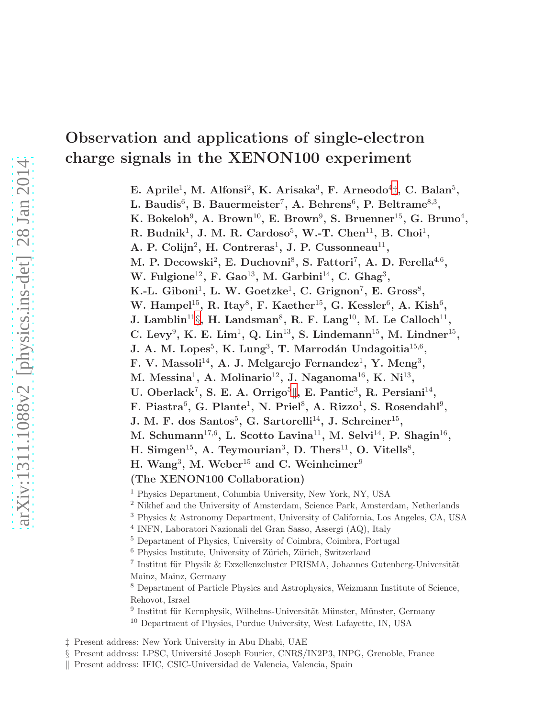# Observation and applications of single-electron charge signals in the XENON100 experiment

E. Aprile<sup>1</sup>, M. Alfonsi<sup>2</sup>, K. Arisaka<sup>3</sup>, F. Arneodo<sup>4</sup><sup>†</sup>, C. Balan<sup>5</sup>, L. Baudis $^6$ , B. Bauermeister<sup>7</sup>, A. Behrens $^6$ , P. Beltrame $^{8,3}$ , K. Bokeloh $^9$ , A. Brown $^{10}$ , E. Brown $^9$ , S. Bruenner $^{15}$ , G. Bruno $^4$ ,

R. Budnik<sup>1</sup>, J. M. R. Cardoso<sup>5</sup>, W.-T. Chen<sup>11</sup>, B. Choi<sup>1</sup>,

A. P. Colijn<sup>2</sup>, H. Contreras<sup>1</sup>, J. P. Cussonneau<sup>11</sup>,

M. P. Decowski<sup>2</sup>, E. Duchovni<sup>8</sup>, S. Fattori<sup>7</sup>, A. D. Ferella<sup>4,6</sup>,

W. Fulgione<sup>12</sup>, F. Gao<sup>13</sup>, M. Garbini<sup>14</sup>, C. Ghag<sup>3</sup>,

K.-L. Giboni<sup>1</sup>, L. W. Goetzke<sup>1</sup>, C. Grignon<sup>7</sup>, E. Gross<sup>8</sup>,

W. Hampel<sup>15</sup>, R. Itay<sup>8</sup>, F. Kaether<sup>15</sup>, G. Kessler<sup>6</sup>, A. Kish<sup>6</sup>,

J. Lamblin<sup>11</sup>[§](#page-0-1), H. Landsman<sup>8</sup>, R. F. Lang<sup>10</sup>, M. Le Calloch<sup>11</sup>,

C. Levy<sup>9</sup>, K. E. Lim<sup>1</sup>, Q. Lin<sup>13</sup>, S. Lindemann<sup>15</sup>, M. Lindner<sup>15</sup>,

J. A. M. Lopes $^5$ , K. Lung $^3$ , T. Marrodán Undagoitia $^{15,6}$ ,

F. V. Massoli<sup>14</sup>, A. J. Melgarejo Fernandez<sup>1</sup>, Y. Meng<sup>3</sup>,

M. Messina<sup>1</sup>, A. Molinario<sup>12</sup>, J. Naganoma<sup>16</sup>, K. Ni<sup>13</sup>,

U. Oberlac[k](#page-0-2)<sup>7</sup>, S. E. A. Orrigo<sup>5</sup>||, E. Pantic<sup>3</sup>, R. Persiani<sup>14</sup>,

F. Piastra<sup>6</sup>, G. Plante<sup>1</sup>, N. Priel<sup>8</sup>, A. Rizzo<sup>1</sup>, S. Rosendahl<sup>9</sup>,

J. M. F. dos Santos<sup>5</sup>, G. Sartorelli<sup>14</sup>, J. Schreiner<sup>15</sup>,

M. Schumann<sup>17,6</sup>, L. Scotto Lavina<sup>11</sup>, M. Selvi<sup>14</sup>, P. Shagin<sup>16</sup>,

H. Simgen<sup>15</sup>, A. Teymourian<sup>3</sup>, D. Thers<sup>11</sup>, O. Vitells<sup>8</sup>,

H. Wang<sup>3</sup>, M. Weber<sup>15</sup> and C. Weinheimer<sup>9</sup>

(The XENON100 Collaboration)

<sup>1</sup> Physics Department, Columbia University, New York, NY, USA

<sup>2</sup> Nikhef and the University of Amsterdam, Science Park, Amsterdam, Netherlands

<sup>3</sup> Physics & Astronomy Department, University of California, Los Angeles, CA, USA

4 INFN, Laboratori Nazionali del Gran Sasso, Assergi (AQ), Italy

<sup>5</sup> Department of Physics, University of Coimbra, Coimbra, Portugal

 $6$  Physics Institute, University of Zürich, Zürich, Switzerland

 $^7$ Institut für Physik & Exzellenzcluster PRISMA, Johannes Gutenberg-Universität Mainz, Mainz, Germany

<sup>8</sup> Department of Particle Physics and Astrophysics, Weizmann Institute of Science, Rehovot, Israel

 $9$ Institut für Kernphysik, Wilhelms-Universität Münster, Münster, Germany <sup>10</sup> Department of Physics, Purdue University, West Lafayette, IN, USA

‡ Present address: New York University in Abu Dhabi, UAE

<span id="page-0-0"></span>§ Present address: LPSC, Université Joseph Fourier, CNRS/IN2P3, INPG, Grenoble, France

<span id="page-0-2"></span><span id="page-0-1"></span>k Present address: IFIC, CSIC-Universidad de Valencia, Valencia, Spain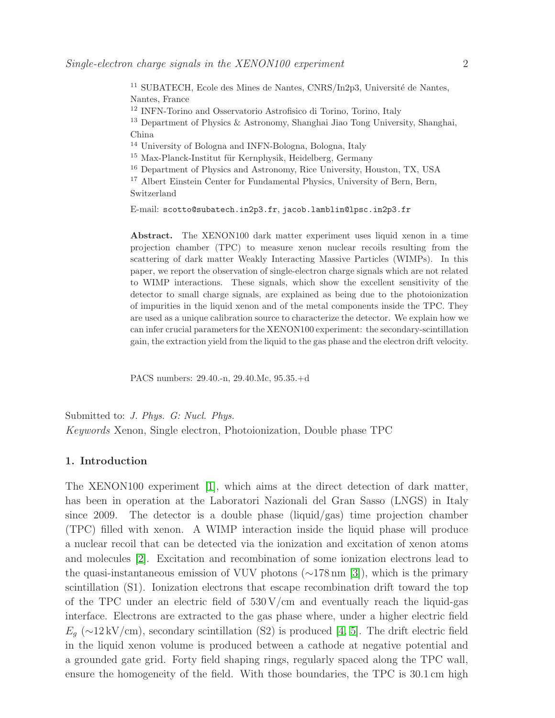SUBATECH, Ecole des Mines de Nantes, CNRS/In2p3, Université de Nantes, Nantes, France INFN-Torino and Osservatorio Astrofisico di Torino, Torino, Italy Department of Physics & Astronomy, Shanghai Jiao Tong University, Shanghai, China University of Bologna and INFN-Bologna, Bologna, Italy Max-Planck-Institut für Kernphysik, Heidelberg, Germany

<sup>16</sup> Department of Physics and Astronomy, Rice University, Houston, TX, USA

<sup>17</sup> Albert Einstein Center for Fundamental Physics, University of Bern, Bern, Switzerland

E-mail: scotto@subatech.in2p3.fr, jacob.lamblin@lpsc.in2p3.fr

Abstract. The XENON100 dark matter experiment uses liquid xenon in a time projection chamber (TPC) to measure xenon nuclear recoils resulting from the scattering of dark matter Weakly Interacting Massive Particles (WIMPs). In this paper, we report the observation of single-electron charge signals which are not related to WIMP interactions. These signals, which show the excellent sensitivity of the detector to small charge signals, are explained as being due to the photoionization of impurities in the liquid xenon and of the metal components inside the TPC. They are used as a unique calibration source to characterize the detector. We explain how we can infer crucial parameters for the XENON100 experiment: the secondary-scintillation gain, the extraction yield from the liquid to the gas phase and the electron drift velocity.

PACS numbers: 29.40.-n, 29.40.Mc, 95.35.+d

Submitted to: *J. Phys. G: Nucl. Phys.* Keywords Xenon, Single electron, Photoionization, Double phase TPC

# 1. Introduction

The XENON100 experiment [\[1\]](#page-14-0), which aims at the direct detection of dark matter, has been in operation at the Laboratori Nazionali del Gran Sasso (LNGS) in Italy since 2009. The detector is a double phase (liquid/gas) time projection chamber (TPC) filled with xenon. A WIMP interaction inside the liquid phase will produce a nuclear recoil that can be detected via the ionization and excitation of xenon atoms and molecules [\[2\]](#page-14-1). Excitation and recombination of some ionization electrons lead to the quasi-instantaneous emission of VUV photons (∼178 nm [\[3\]](#page-14-2)), which is the primary scintillation (S1). Ionization electrons that escape recombination drift toward the top of the TPC under an electric field of  $530 \text{ V/cm}$  and eventually reach the liquid-gas interface. Electrons are extracted to the gas phase where, under a higher electric field  $E_q$  (∼12 kV/cm), secondary scintillation (S2) is produced [\[4,](#page-14-3) [5\]](#page-14-4). The drift electric field in the liquid xenon volume is produced between a cathode at negative potential and a grounded gate grid. Forty field shaping rings, regularly spaced along the TPC wall, ensure the homogeneity of the field. With those boundaries, the TPC is 30.1 cm high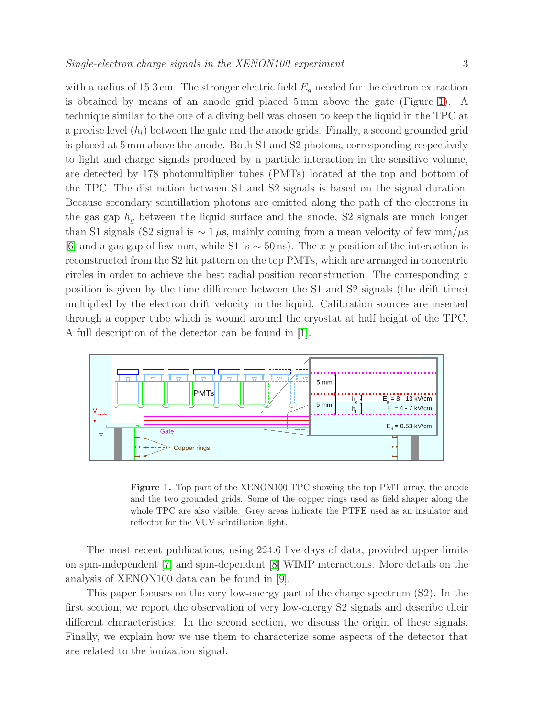with a radius of 15.3 cm. The stronger electric field  $E<sub>g</sub>$  needed for the electron extraction is obtained by means of an anode grid placed 5 mm above the gate (Figure [1\)](#page-2-0). A technique similar to the one of a diving bell was chosen to keep the liquid in the TPC at a precise level  $(h_l)$  between the gate and the anode grids. Finally, a second grounded grid is placed at 5 mm above the anode. Both S1 and S2 photons, corresponding respectively to light and charge signals produced by a particle interaction in the sensitive volume, are detected by 178 photomultiplier tubes (PMTs) located at the top and bottom of the TPC. The distinction between S1 and S2 signals is based on the signal duration. Because secondary scintillation photons are emitted along the path of the electrons in the gas gap  $h_q$  between the liquid surface and the anode, S2 signals are much longer than S1 signals (S2 signal is  $\sim 1 \mu$ s, mainly coming from a mean velocity of few mm/ $\mu$ s [\[6\]](#page-14-5) and a gas gap of few mm, while S1 is  $\sim$  50 ns). The x-y position of the interaction is reconstructed from the S2 hit pattern on the top PMTs, which are arranged in concentric circles in order to achieve the best radial position reconstruction. The corresponding z position is given by the time difference between the S1 and S2 signals (the drift time) multiplied by the electron drift velocity in the liquid. Calibration sources are inserted through a copper tube which is wound around the cryostat at half height of the TPC. A full description of the detector can be found in [\[1\]](#page-14-0).



<span id="page-2-0"></span>Figure 1. Top part of the XENON100 TPC showing the top PMT array, the anode and the two grounded grids. Some of the copper rings used as field shaper along the whole TPC are also visible. Grey areas indicate the PTFE used as an insulator and reflector for the VUV scintillation light.

The most recent publications, using 224.6 live days of data, provided upper limits on spin-independent [\[7\]](#page-14-6) and spin-dependent [\[8\]](#page-15-0) WIMP interactions. More details on the analysis of XENON100 data can be found in [\[9\]](#page-15-1).

This paper focuses on the very low-energy part of the charge spectrum (S2). In the first section, we report the observation of very low-energy S2 signals and describe their different characteristics. In the second section, we discuss the origin of these signals. Finally, we explain how we use them to characterize some aspects of the detector that are related to the ionization signal.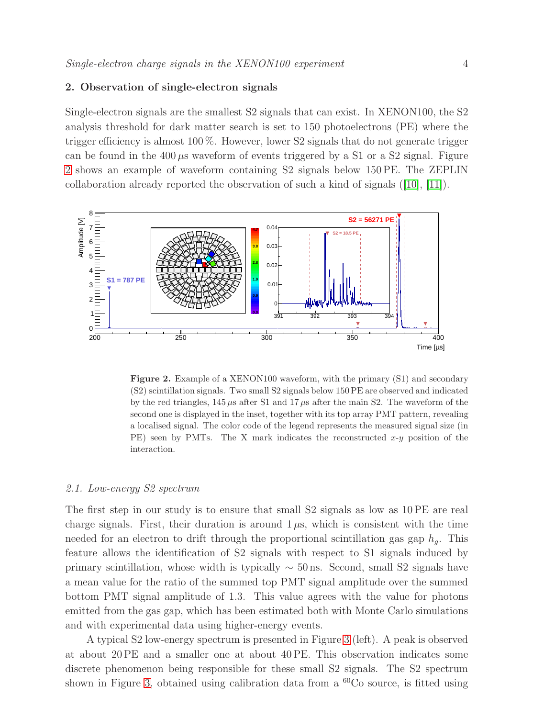# 2. Observation of single-electron signals

Single-electron signals are the smallest S2 signals that can exist. In XENON100, the S2 analysis threshold for dark matter search is set to 150 photoelectrons (PE) where the trigger efficiency is almost 100 %. However, lower S2 signals that do not generate trigger can be found in the  $400 \mu s$  waveform of events triggered by a S1 or a S2 signal. Figure [2](#page-3-0) shows an example of waveform containing S2 signals below 150 PE. The ZEPLIN collaboration already reported the observation of such a kind of signals ([\[10\]](#page-15-2), [\[11\]](#page-15-3)).



<span id="page-3-0"></span>Figure 2. Example of a XENON100 waveform, with the primary (S1) and secondary (S2) scintillation signals. Two small S2 signals below 150 PE are observed and indicated by the red triangles,  $145 \mu s$  after S1 and  $17 \mu s$  after the main S2. The waveform of the second one is displayed in the inset, together with its top array PMT pattern, revealing a localised signal. The color code of the legend represents the measured signal size (in PE) seen by PMTs. The X mark indicates the reconstructed  $x-y$  position of the interaction.

## 2.1. Low-energy S2 spectrum

The first step in our study is to ensure that small S2 signals as low as 10 PE are real charge signals. First, their duration is around  $1 \mu s$ , which is consistent with the time needed for an electron to drift through the proportional scintillation gas gap  $h_q$ . This feature allows the identification of S2 signals with respect to S1 signals induced by primary scintillation, whose width is typically  $\sim$  50 ns. Second, small S2 signals have a mean value for the ratio of the summed top PMT signal amplitude over the summed bottom PMT signal amplitude of 1.3. This value agrees with the value for photons emitted from the gas gap, which has been estimated both with Monte Carlo simulations and with experimental data using higher-energy events.

A typical S2 low-energy spectrum is presented in Figure [3](#page-4-0) (left). A peak is observed at about 20 PE and a smaller one at about 40 PE. This observation indicates some discrete phenomenon being responsible for these small S2 signals. The S2 spectrum shown in Figure [3,](#page-4-0) obtained using calibration data from a  ${}^{60}Co$  source, is fitted using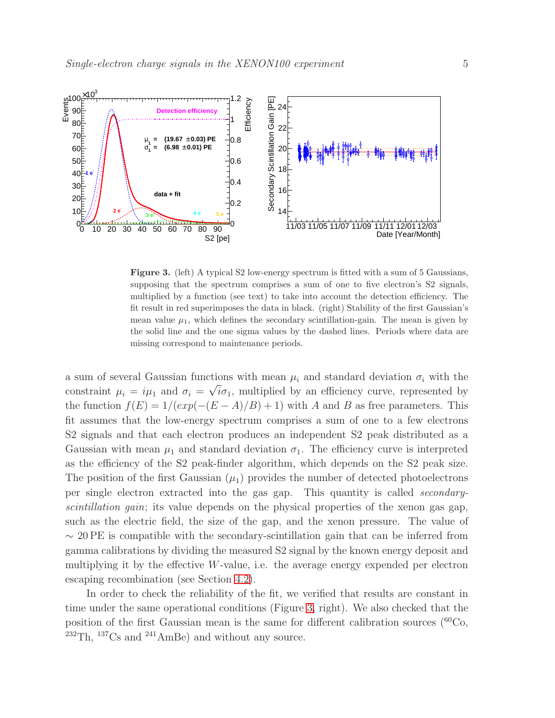

<span id="page-4-0"></span>Figure 3. (left) A typical S2 low-energy spectrum is fitted with a sum of 5 Gaussians, supposing that the spectrum comprises a sum of one to five electron's S2 signals, multiplied by a function (see text) to take into account the detection efficiency. The fit result in red superimposes the data in black. (right) Stability of the first Gaussian's mean value  $\mu_1$ , which defines the secondary scintillation-gain. The mean is given by the solid line and the one sigma values by the dashed lines. Periods where data are missing correspond to maintenance periods.

a sum of several Gaussian functions with mean  $\mu_i$  and standard deviation  $\sigma_i$  with the constraint  $\mu_i = i\mu_1$  and  $\sigma_i = \sqrt{i}\sigma_1$ , multiplied by an efficiency curve, represented by the function  $f(E) = 1/(exp(-(E - A)/B) + 1)$  with A and B as free parameters. This fit assumes that the low-energy spectrum comprises a sum of one to a few electrons S2 signals and that each electron produces an independent S2 peak distributed as a Gaussian with mean  $\mu_1$  and standard deviation  $\sigma_1$ . The efficiency curve is interpreted as the efficiency of the S2 peak-finder algorithm, which depends on the S2 peak size. The position of the first Gaussian  $(\mu_1)$  provides the number of detected photoelectrons per single electron extracted into the gas gap. This quantity is called secondaryscintillation gain; its value depends on the physical properties of the xenon gas gap, such as the electric field, the size of the gap, and the xenon pressure. The value of  $\sim$  20 PE is compatible with the secondary-scintillation gain that can be inferred from gamma calibrations by dividing the measured S2 signal by the known energy deposit and multiplying it by the effective W-value, i.e. the average energy expended per electron escaping recombination (see Section [4.2\)](#page-11-0).

In order to check the reliability of the fit, we verified that results are constant in time under the same operational conditions (Figure [3,](#page-4-0) right). We also checked that the position of the first Gaussian mean is the same for different calibration sources  $(^{60}Co,$  $232$ Th,  $137$ Cs and  $241$ AmBe) and without any source.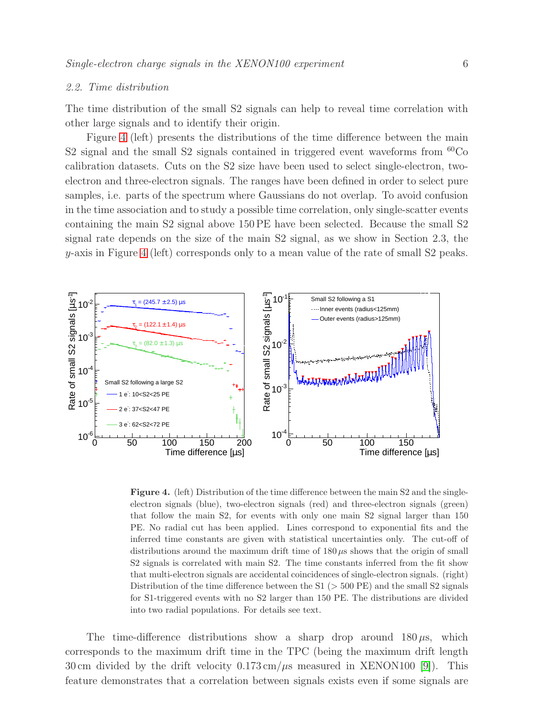# <span id="page-5-1"></span>2.2. Time distribution

The time distribution of the small S2 signals can help to reveal time correlation with other large signals and to identify their origin.

Figure [4](#page-5-0) (left) presents the distributions of the time difference between the main S2 signal and the small S2 signals contained in triggered event waveforms from  $^{60}Co$ calibration datasets. Cuts on the S2 size have been used to select single-electron, twoelectron and three-electron signals. The ranges have been defined in order to select pure samples, i.e. parts of the spectrum where Gaussians do not overlap. To avoid confusion in the time association and to study a possible time correlation, only single-scatter events containing the main S2 signal above 150 PE have been selected. Because the small S2 signal rate depends on the size of the main S2 signal, as we show in Section 2.3, the  $y$ -axis in Figure [4](#page-5-0) (left) corresponds only to a mean value of the rate of small S2 peaks.



<span id="page-5-0"></span>Figure 4. (left) Distribution of the time difference between the main S2 and the singleelectron signals (blue), two-electron signals (red) and three-electron signals (green) that follow the main S2, for events with only one main S2 signal larger than 150 PE. No radial cut has been applied. Lines correspond to exponential fits and the inferred time constants are given with statistical uncertainties only. The cut-off of distributions around the maximum drift time of  $180 \,\mu s$  shows that the origin of small S2 signals is correlated with main S2. The time constants inferred from the fit show that multi-electron signals are accidental coincidences of single-electron signals. (right) Distribution of the time difference between the  $S1$  ( $>$  500 PE) and the small S2 signals for S1-triggered events with no S2 larger than 150 PE. The distributions are divided into two radial populations. For details see text.

The time-difference distributions show a sharp drop around  $180 \mu s$ , which corresponds to the maximum drift time in the TPC (being the maximum drift length 30 cm divided by the drift velocity  $0.173 \text{ cm}/\mu\text{s}$  measured in XENON100 [\[9\]](#page-15-1)). This feature demonstrates that a correlation between signals exists even if some signals are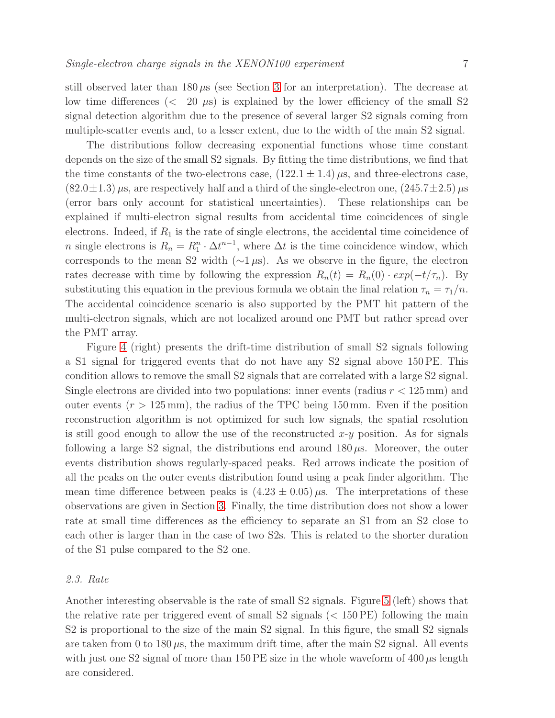still observed later than  $180 \mu s$  (see Section [3](#page-8-0) for an interpretation). The decrease at low time differences  $\langle \langle 20 \mu s \rangle$  is explained by the lower efficiency of the small S2 signal detection algorithm due to the presence of several larger S2 signals coming from multiple-scatter events and, to a lesser extent, due to the width of the main S2 signal.

The distributions follow decreasing exponential functions whose time constant depends on the size of the small S2 signals. By fitting the time distributions, we find that the time constants of the two-electrons case,  $(122.1 \pm 1.4) \,\mu s$ , and three-electrons case,  $(82.0\pm1.3) \,\mu s$ , are respectively half and a third of the single-electron one,  $(245.7\pm2.5) \,\mu s$ (error bars only account for statistical uncertainties). These relationships can be explained if multi-electron signal results from accidental time coincidences of single electrons. Indeed, if  $R_1$  is the rate of single electrons, the accidental time coincidence of *n* single electrons is  $R_n = R_1^n \cdot \Delta t^{n-1}$ , where  $\Delta t$  is the time coincidence window, which corresponds to the mean S2 width ( $\sim$ 1 µs). As we observe in the figure, the electron rates decrease with time by following the expression  $R_n(t) = R_n(0) \cdot exp(-t/\tau_n)$ . By substituting this equation in the previous formula we obtain the final relation  $\tau_n = \tau_1/n$ . The accidental coincidence scenario is also supported by the PMT hit pattern of the multi-electron signals, which are not localized around one PMT but rather spread over the PMT array.

Figure [4](#page-5-0) (right) presents the drift-time distribution of small S2 signals following a S1 signal for triggered events that do not have any S2 signal above 150 PE. This condition allows to remove the small S2 signals that are correlated with a large S2 signal. Single electrons are divided into two populations: inner events (radius  $r < 125 \,\mathrm{mm}$ ) and outer events  $(r > 125 \,\mathrm{mm})$ , the radius of the TPC being 150 mm. Even if the position reconstruction algorithm is not optimized for such low signals, the spatial resolution is still good enough to allow the use of the reconstructed  $x-y$  position. As for signals following a large S2 signal, the distributions end around  $180 \mu s$ . Moreover, the outer events distribution shows regularly-spaced peaks. Red arrows indicate the position of all the peaks on the outer events distribution found using a peak finder algorithm. The mean time difference between peaks is  $(4.23 \pm 0.05) \mu s$ . The interpretations of these observations are given in Section [3.](#page-8-0) Finally, the time distribution does not show a lower rate at small time differences as the efficiency to separate an S1 from an S2 close to each other is larger than in the case of two S2s. This is related to the shorter duration of the S1 pulse compared to the S2 one.

#### 2.3. Rate

Another interesting observable is the rate of small S2 signals. Figure [5](#page-7-0) (left) shows that the relative rate per triggered event of small  $S2$  signals ( $\lt 150$  PE) following the main S2 is proportional to the size of the main S2 signal. In this figure, the small S2 signals are taken from 0 to  $180 \mu s$ , the maximum drift time, after the main S2 signal. All events with just one S2 signal of more than 150 PE size in the whole waveform of  $400 \mu s$  length are considered.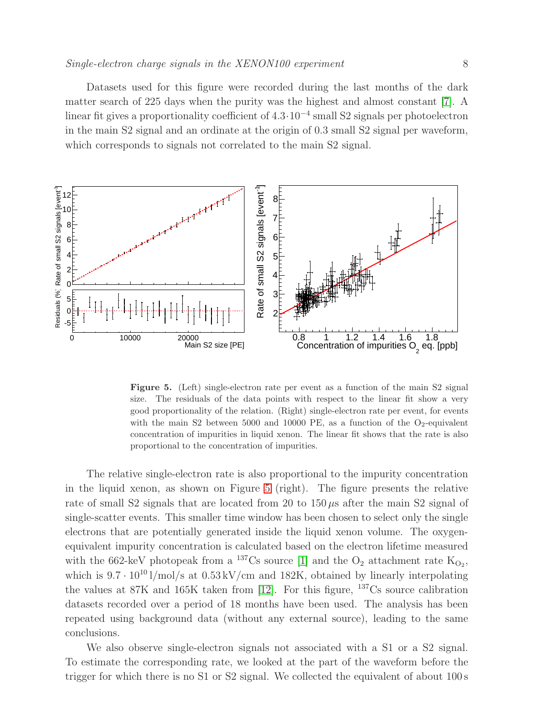Datasets used for this figure were recorded during the last months of the dark matter search of 225 days when the purity was the highest and almost constant [\[7\]](#page-14-6). A linear fit gives a proportionality coefficient of 4.3·10<sup>−</sup><sup>4</sup> small S2 signals per photoelectron in the main S2 signal and an ordinate at the origin of 0.3 small S2 signal per waveform, which corresponds to signals not correlated to the main  $S2$  signal.



<span id="page-7-0"></span>Figure 5. (Left) single-electron rate per event as a function of the main S2 signal size. The residuals of the data points with respect to the linear fit show a very good proportionality of the relation. (Right) single-electron rate per event, for events with the main S2 between 5000 and 10000 PE, as a function of the  $O_2$ -equivalent concentration of impurities in liquid xenon. The linear fit shows that the rate is also proportional to the concentration of impurities.

The relative single-electron rate is also proportional to the impurity concentration in the liquid xenon, as shown on Figure [5](#page-7-0) (right). The figure presents the relative rate of small S2 signals that are located from 20 to  $150 \mu s$  after the main S2 signal of single-scatter events. This smaller time window has been chosen to select only the single electrons that are potentially generated inside the liquid xenon volume. The oxygenequivalent impurity concentration is calculated based on the electron lifetime measured with the 662-keV photopeak from a <sup>137</sup>Cs source [\[1\]](#page-14-0) and the  $O_2$  attachment rate  $K_{O_2}$ , which is  $9.7 \cdot 10^{10}$  l/mol/s at  $0.53$  kV/cm and 182K, obtained by linearly interpolating the values at  $87K$  and  $165K$  taken from [\[12\]](#page-15-4). For this figure,  $137Cs$  source calibration datasets recorded over a period of 18 months have been used. The analysis has been repeated using background data (without any external source), leading to the same conclusions.

We also observe single-electron signals not associated with a S1 or a S2 signal. To estimate the corresponding rate, we looked at the part of the waveform before the trigger for which there is no S1 or S2 signal. We collected the equivalent of about 100 s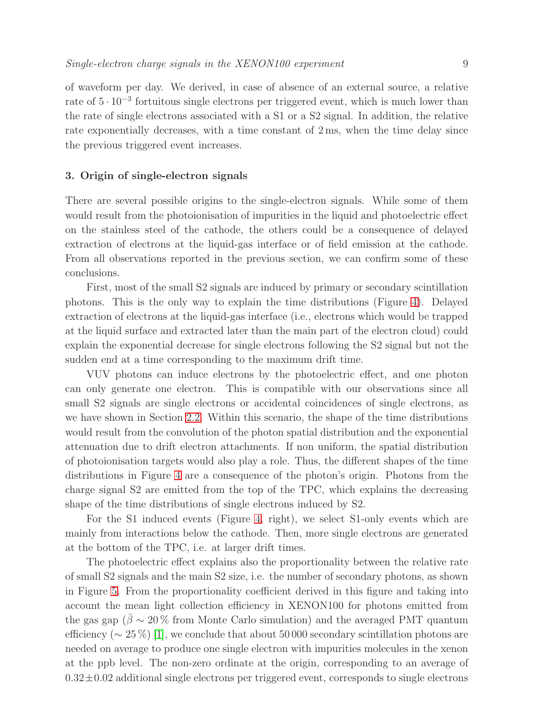of waveform per day. We derived, in case of absence of an external source, a relative rate of  $5 \cdot 10^{-3}$  fortuitous single electrons per triggered event, which is much lower than the rate of single electrons associated with a S1 or a S2 signal. In addition, the relative rate exponentially decreases, with a time constant of 2 ms, when the time delay since the previous triggered event increases.

#### <span id="page-8-0"></span>3. Origin of single-electron signals

There are several possible origins to the single-electron signals. While some of them would result from the photoionisation of impurities in the liquid and photoelectric effect on the stainless steel of the cathode, the others could be a consequence of delayed extraction of electrons at the liquid-gas interface or of field emission at the cathode. From all observations reported in the previous section, we can confirm some of these conclusions.

First, most of the small S2 signals are induced by primary or secondary scintillation photons. This is the only way to explain the time distributions (Figure [4\)](#page-5-0). Delayed extraction of electrons at the liquid-gas interface (i.e., electrons which would be trapped at the liquid surface and extracted later than the main part of the electron cloud) could explain the exponential decrease for single electrons following the S2 signal but not the sudden end at a time corresponding to the maximum drift time.

VUV photons can induce electrons by the photoelectric effect, and one photon can only generate one electron. This is compatible with our observations since all small S2 signals are single electrons or accidental coincidences of single electrons, as we have shown in Section [2.2.](#page-5-1) Within this scenario, the shape of the time distributions would result from the convolution of the photon spatial distribution and the exponential attenuation due to drift electron attachments. If non uniform, the spatial distribution of photoionisation targets would also play a role. Thus, the different shapes of the time distributions in Figure [4](#page-5-0) are a consequence of the photon's origin. Photons from the charge signal S2 are emitted from the top of the TPC, which explains the decreasing shape of the time distributions of single electrons induced by S2.

For the S1 induced events (Figure [4,](#page-5-0) right), we select S1-only events which are mainly from interactions below the cathode. Then, more single electrons are generated at the bottom of the TPC, i.e. at larger drift times.

The photoelectric effect explains also the proportionality between the relative rate of small S2 signals and the main S2 size, i.e. the number of secondary photons, as shown in Figure [5.](#page-7-0) From the proportionality coefficient derived in this figure and taking into account the mean light collection efficiency in XENON100 for photons emitted from the gas gap ( $\bar{\beta} \sim 20\%$  from Monte Carlo simulation) and the averaged PMT quantum efficiency ( $\sim 25\%$ ) [\[1\]](#page-14-0), we conclude that about 50 000 secondary scintillation photons are needed on average to produce one single electron with impurities molecules in the xenon at the ppb level. The non-zero ordinate at the origin, corresponding to an average of  $0.32\pm0.02$  additional single electrons per triggered event, corresponds to single electrons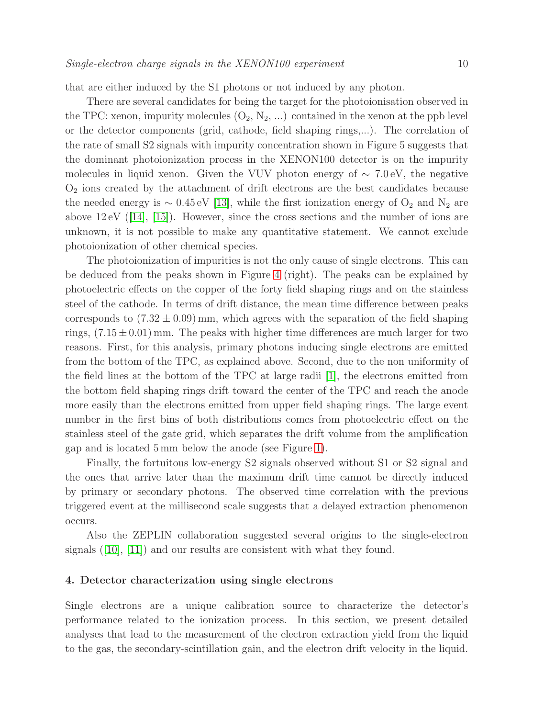that are either induced by the S1 photons or not induced by any photon.

There are several candidates for being the target for the photoionisation observed in the TPC: xenon, impurity molecules  $(O_2, N_2, ...)$  contained in the xenon at the ppb level or the detector components (grid, cathode, field shaping rings,...). The correlation of the rate of small S2 signals with impurity concentration shown in Figure 5 suggests that the dominant photoionization process in the XENON100 detector is on the impurity molecules in liquid xenon. Given the VUV photon energy of  $\sim 7.0 \text{ eV}$ , the negative  $O<sub>2</sub>$  ions created by the attachment of drift electrons are the best candidates because the needed energy is  $\sim 0.45 \,\text{eV}$  [\[13\]](#page-15-5), while the first ionization energy of O<sub>2</sub> and N<sub>2</sub> are above 12 eV ([\[14\]](#page-15-6), [\[15\]](#page-15-7)). However, since the cross sections and the number of ions are unknown, it is not possible to make any quantitative statement. We cannot exclude photoionization of other chemical species.

The photoionization of impurities is not the only cause of single electrons. This can be deduced from the peaks shown in Figure [4](#page-5-0) (right). The peaks can be explained by photoelectric effects on the copper of the forty field shaping rings and on the stainless steel of the cathode. In terms of drift distance, the mean time difference between peaks corresponds to  $(7.32 \pm 0.09)$  mm, which agrees with the separation of the field shaping rings,  $(7.15 \pm 0.01)$  mm. The peaks with higher time differences are much larger for two reasons. First, for this analysis, primary photons inducing single electrons are emitted from the bottom of the TPC, as explained above. Second, due to the non uniformity of the field lines at the bottom of the TPC at large radii [\[1\]](#page-14-0), the electrons emitted from the bottom field shaping rings drift toward the center of the TPC and reach the anode more easily than the electrons emitted from upper field shaping rings. The large event number in the first bins of both distributions comes from photoelectric effect on the stainless steel of the gate grid, which separates the drift volume from the amplification gap and is located 5 mm below the anode (see Figure [1\)](#page-2-0).

Finally, the fortuitous low-energy S2 signals observed without S1 or S2 signal and the ones that arrive later than the maximum drift time cannot be directly induced by primary or secondary photons. The observed time correlation with the previous triggered event at the millisecond scale suggests that a delayed extraction phenomenon occurs.

Also the ZEPLIN collaboration suggested several origins to the single-electron signals  $([10], [11])$  $([10], [11])$  $([10], [11])$  $([10], [11])$  $([10], [11])$  and our results are consistent with what they found.

#### 4. Detector characterization using single electrons

Single electrons are a unique calibration source to characterize the detector's performance related to the ionization process. In this section, we present detailed analyses that lead to the measurement of the electron extraction yield from the liquid to the gas, the secondary-scintillation gain, and the electron drift velocity in the liquid.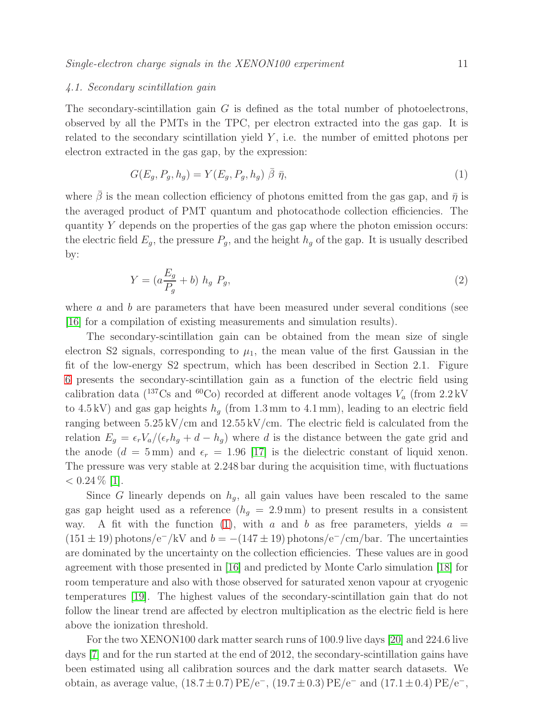#### 4.1. Secondary scintillation gain

The secondary-scintillation gain  $G$  is defined as the total number of photoelectrons, observed by all the PMTs in the TPC, per electron extracted into the gas gap. It is related to the secondary scintillation yield  $Y$ , i.e. the number of emitted photons per electron extracted in the gas gap, by the expression:

<span id="page-10-0"></span>
$$
G(E_g, P_g, h_g) = Y(E_g, P_g, h_g) \overline{\beta} \overline{\eta},\tag{1}
$$

where  $\bar{\beta}$  is the mean collection efficiency of photons emitted from the gas gap, and  $\bar{\eta}$  is the averaged product of PMT quantum and photocathode collection efficiencies. The quantity Y depends on the properties of the gas gap where the photon emission occurs: the electric field  $E_q$ , the pressure  $P_q$ , and the height  $h_q$  of the gap. It is usually described by:

$$
Y = (a\frac{E_g}{P_g} + b) h_g P_g,\tag{2}
$$

where  $a$  and  $b$  are parameters that have been measured under several conditions (see [\[16\]](#page-15-8) for a compilation of existing measurements and simulation results).

The secondary-scintillation gain can be obtained from the mean size of single electron S2 signals, corresponding to  $\mu_1$ , the mean value of the first Gaussian in the fit of the low-energy S2 spectrum, which has been described in Section 2.1. Figure [6](#page-11-1) presents the secondary-scintillation gain as a function of the electric field using calibration data ( $^{137}Cs$  and  $^{60}Co$ ) recorded at different anode voltages  $V_a$  (from 2.2 kV to 4.5 kV) and gas gap heights  $h_q$  (from 1.3 mm to 4.1 mm), leading to an electric field ranging between  $5.25 \,\mathrm{kV/cm}$  and  $12.55 \,\mathrm{kV/cm}$ . The electric field is calculated from the relation  $E_g = \epsilon_r V_a/(\epsilon_r h_g + d - h_g)$  where d is the distance between the gate grid and the anode  $(d = 5 \text{ mm})$  and  $\epsilon_r = 1.96$  [\[17\]](#page-15-9) is the dielectric constant of liquid xenon. The pressure was very stable at 2.248 bar during the acquisition time, with fluctuations  $< 0.24\%$  [\[1\]](#page-14-0).

Since G linearly depends on  $h_q$ , all gain values have been rescaled to the same gas gap height used as a reference  $(h_q = 2.9 \text{ mm})$  to present results in a consistent way. A fit with the function [\(1\)](#page-10-0), with a and b as free parameters, yields  $a =$  $(151 \pm 19)$  photons/e<sup>-</sup>/kV and  $b = -(147 \pm 19)$  photons/e<sup>-</sup>/cm/bar. The uncertainties are dominated by the uncertainty on the collection efficiencies. These values are in good agreement with those presented in [\[16\]](#page-15-8) and predicted by Monte Carlo simulation [\[18\]](#page-15-10) for room temperature and also with those observed for saturated xenon vapour at cryogenic temperatures [\[19\]](#page-15-11). The highest values of the secondary-scintillation gain that do not follow the linear trend are affected by electron multiplication as the electric field is here above the ionization threshold.

For the two XENON100 dark matter search runs of 100.9 live days [\[20\]](#page-15-12) and 224.6 live days [\[7\]](#page-14-6) and for the run started at the end of 2012, the secondary-scintillation gains have been estimated using all calibration sources and the dark matter search datasets. We obtain, as average value,  $(18.7 \pm 0.7)$  PE/e<sup>-</sup>,  $(19.7 \pm 0.3)$  PE/e<sup>-</sup> and  $(17.1 \pm 0.4)$  PE/e<sup>-</sup>,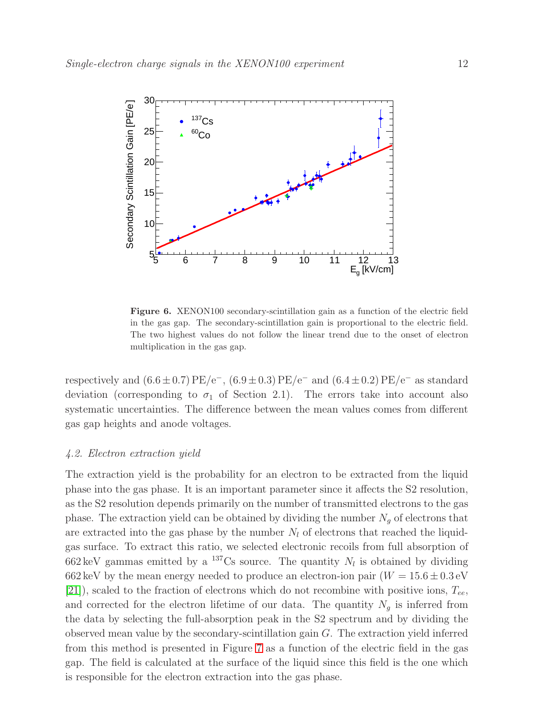

<span id="page-11-1"></span>Figure 6. XENON100 secondary-scintillation gain as a function of the electric field in the gas gap. The secondary-scintillation gain is proportional to the electric field. The two highest values do not follow the linear trend due to the onset of electron multiplication in the gas gap.

respectively and  $(6.6 \pm 0.7)$  PE/e<sup>-</sup>,  $(6.9 \pm 0.3)$  PE/e<sup>-</sup> and  $(6.4 \pm 0.2)$  PE/e<sup>-</sup> as standard deviation (corresponding to  $\sigma_1$  of Section 2.1). The errors take into account also systematic uncertainties. The difference between the mean values comes from different gas gap heights and anode voltages.

## <span id="page-11-0"></span>4.2. Electron extraction yield

The extraction yield is the probability for an electron to be extracted from the liquid phase into the gas phase. It is an important parameter since it affects the S2 resolution, as the S2 resolution depends primarily on the number of transmitted electrons to the gas phase. The extraction yield can be obtained by dividing the number  $N_g$  of electrons that are extracted into the gas phase by the number  $N_l$  of electrons that reached the liquidgas surface. To extract this ratio, we selected electronic recoils from full absorption of 662 keV gammas emitted by a <sup>137</sup>Cs source. The quantity  $N_l$  is obtained by dividing 662 keV by the mean energy needed to produce an electron-ion pair  $(W = 15.6 \pm 0.3 \text{ eV})$ [\[21\]](#page-15-13)), scaled to the fraction of electrons which do not recombine with positive ions,  $T_{ee}$ , and corrected for the electron lifetime of our data. The quantity  $N_g$  is inferred from the data by selecting the full-absorption peak in the S2 spectrum and by dividing the observed mean value by the secondary-scintillation gain  $G$ . The extraction yield inferred from this method is presented in Figure [7](#page-12-0) as a function of the electric field in the gas gap. The field is calculated at the surface of the liquid since this field is the one which is responsible for the electron extraction into the gas phase.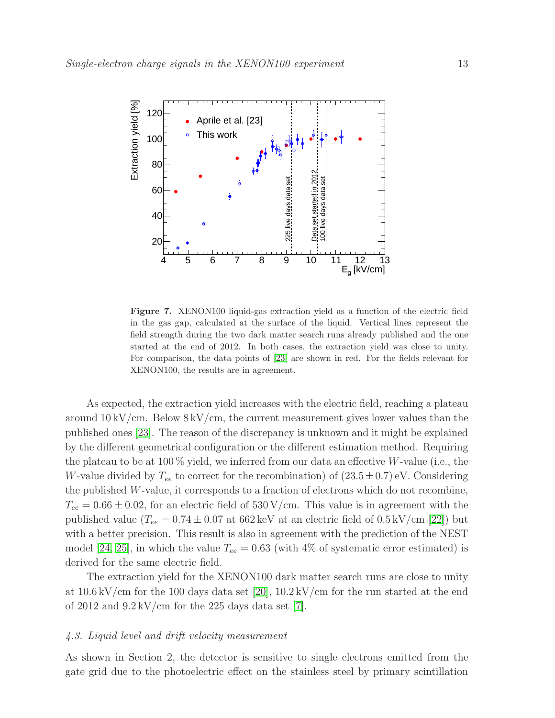

<span id="page-12-0"></span>Figure 7. XENON100 liquid-gas extraction yield as a function of the electric field in the gas gap, calculated at the surface of the liquid. Vertical lines represent the field strength during the two dark matter search runs already published and the one started at the end of 2012. In both cases, the extraction yield was close to unity. For comparison, the data points of [\[23\]](#page-15-14) are shown in red. For the fields relevant for XENON100, the results are in agreement.

As expected, the extraction yield increases with the electric field, reaching a plateau around  $10 \,\mathrm{kV/cm}$ . Below  $8 \,\mathrm{kV/cm}$ , the current measurement gives lower values than the published ones [\[23\]](#page-15-14). The reason of the discrepancy is unknown and it might be explained by the different geometrical configuration or the different estimation method. Requiring the plateau to be at 100  $\%$  yield, we inferred from our data an effective W-value (i.e., the W-value divided by  $T_{ee}$  to correct for the recombination) of  $(23.5\pm0.7)$  eV. Considering the published W-value, it corresponds to a fraction of electrons which do not recombine,  $T_{ee} = 0.66 \pm 0.02$ , for an electric field of 530 V/cm. This value is in agreement with the published value  $(T_{ee} = 0.74 \pm 0.07 \text{ at } 662 \text{ keV} \text{ at an electric field of } 0.5 \text{ kV/cm [22])}$  $(T_{ee} = 0.74 \pm 0.07 \text{ at } 662 \text{ keV} \text{ at an electric field of } 0.5 \text{ kV/cm [22])}$  $(T_{ee} = 0.74 \pm 0.07 \text{ at } 662 \text{ keV} \text{ at an electric field of } 0.5 \text{ kV/cm [22])}$  but with a better precision. This result is also in agreement with the prediction of the NEST model [\[24,](#page-15-16) [25\]](#page-15-17), in which the value  $T_{ee} = 0.63$  (with 4% of systematic error estimated) is derived for the same electric field.

The extraction yield for the XENON100 dark matter search runs are close to unity at  $10.6 \,\mathrm{kV/cm}$  for the 100 days data set [\[20\]](#page-15-12),  $10.2 \,\mathrm{kV/cm}$  for the run started at the end of 2012 and  $9.2 \,\mathrm{kV/cm}$  for the 225 days data set [\[7\]](#page-14-6).

# 4.3. Liquid level and drift velocity measurement

As shown in Section 2, the detector is sensitive to single electrons emitted from the gate grid due to the photoelectric effect on the stainless steel by primary scintillation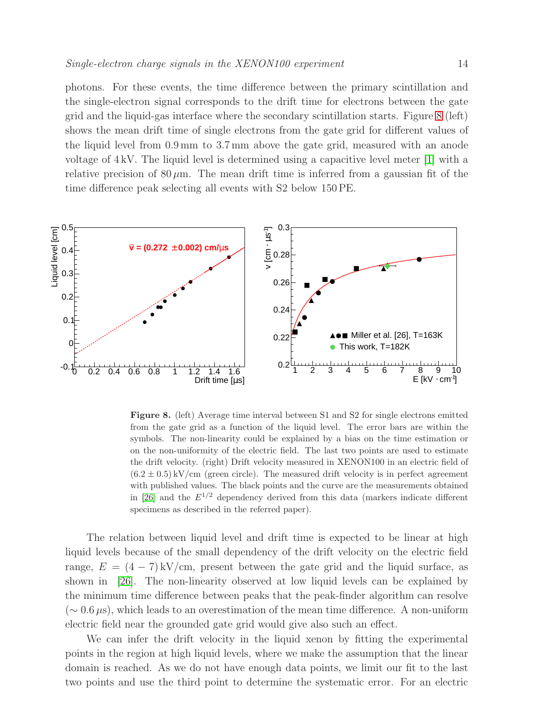photons. For these events, the time difference between the primary scintillation and the single-electron signal corresponds to the drift time for electrons between the gate grid and the liquid-gas interface where the secondary scintillation starts. Figure [8](#page-13-0) (left) shows the mean drift time of single electrons from the gate grid for different values of the liquid level from 0.9 mm to 3.7 mm above the gate grid, measured with an anode voltage of 4 kV. The liquid level is determined using a capacitive level meter [\[1\]](#page-14-0) with a relative precision of  $80 \mu m$ . The mean drift time is inferred from a gaussian fit of the time difference peak selecting all events with S2 below 150 PE.



<span id="page-13-0"></span>Figure 8. (left) Average time interval between S1 and S2 for single electrons emitted from the gate grid as a function of the liquid level. The error bars are within the symbols. The non-linearity could be explained by a bias on the time estimation or on the non-uniformity of the electric field. The last two points are used to estimate the drift velocity. (right) Drift velocity measured in XENON100 in an electric field of  $(6.2 \pm 0.5)$  kV/cm (green circle). The measured drift velocity is in perfect agreement with published values. The black points and the curve are the measurements obtained in [\[26\]](#page-15-18) and the  $E^{1/2}$  dependency derived from this data (markers indicate different specimens as described in the referred paper).

The relation between liquid level and drift time is expected to be linear at high liquid levels because of the small dependency of the drift velocity on the electric field range,  $E = (4 - 7) \frac{kV}{cm}$ , present between the gate grid and the liquid surface, as shown in [\[26\]](#page-15-18). The non-linearity observed at low liquid levels can be explained by the minimum time difference between peaks that the peak-finder algorithm can resolve  $({\sim} 0.6 \,\mu s)$ , which leads to an overestimation of the mean time difference. A non-uniform electric field near the grounded gate grid would give also such an effect.

We can infer the drift velocity in the liquid xenon by fitting the experimental points in the region at high liquid levels, where we make the assumption that the linear domain is reached. As we do not have enough data points, we limit our fit to the last two points and use the third point to determine the systematic error. For an electric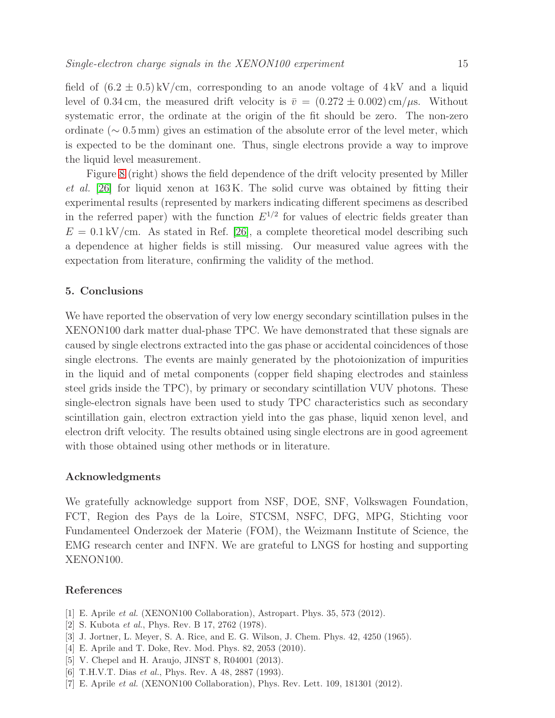field of  $(6.2 \pm 0.5)$  kV/cm, corresponding to an anode voltage of 4 kV and a liquid level of 0.34 cm, the measured drift velocity is  $\bar{v} = (0.272 \pm 0.002)$  cm/ $\mu$ s. Without systematic error, the ordinate at the origin of the fit should be zero. The non-zero ordinate ( $\sim 0.5$  mm) gives an estimation of the absolute error of the level meter, which is expected to be the dominant one. Thus, single electrons provide a way to improve the liquid level measurement.

Figure [8](#page-13-0) (right) shows the field dependence of the drift velocity presented by Miller et al. [\[26\]](#page-15-18) for liquid xenon at 163 K. The solid curve was obtained by fitting their experimental results (represented by markers indicating different specimens as described in the referred paper) with the function  $E^{1/2}$  for values of electric fields greater than  $E = 0.1 \text{ kV/cm}$ . As stated in Ref. [\[26\]](#page-15-18), a complete theoretical model describing such a dependence at higher fields is still missing. Our measured value agrees with the expectation from literature, confirming the validity of the method.

# 5. Conclusions

We have reported the observation of very low energy secondary scintillation pulses in the XENON100 dark matter dual-phase TPC. We have demonstrated that these signals are caused by single electrons extracted into the gas phase or accidental coincidences of those single electrons. The events are mainly generated by the photoionization of impurities in the liquid and of metal components (copper field shaping electrodes and stainless steel grids inside the TPC), by primary or secondary scintillation VUV photons. These single-electron signals have been used to study TPC characteristics such as secondary scintillation gain, electron extraction yield into the gas phase, liquid xenon level, and electron drift velocity. The results obtained using single electrons are in good agreement with those obtained using other methods or in literature.

#### Acknowledgments

We gratefully acknowledge support from NSF, DOE, SNF, Volkswagen Foundation, FCT, Region des Pays de la Loire, STCSM, NSFC, DFG, MPG, Stichting voor Fundamenteel Onderzoek der Materie (FOM), the Weizmann Institute of Science, the EMG research center and INFN. We are grateful to LNGS for hosting and supporting XENON100.

## <span id="page-14-0"></span>References

- <span id="page-14-1"></span>[1] E. Aprile *et al.* (XENON100 Collaboration), Astropart. Phys. 35, 573 (2012).
- <span id="page-14-2"></span>[2] S. Kubota *et al.*, Phys. Rev. B 17, 2762 (1978).
- <span id="page-14-3"></span>[3] J. Jortner, L. Meyer, S. A. Rice, and E. G. Wilson, J. Chem. Phys. 42, 4250 (1965).
- <span id="page-14-4"></span>[4] E. Aprile and T. Doke, Rev. Mod. Phys. 82, 2053 (2010).
- <span id="page-14-5"></span>[5] V. Chepel and H. Araujo, JINST 8, R04001 (2013).
- <span id="page-14-6"></span>[6] T.H.V.T. Dias *et al.*, Phys. Rev. A 48, 2887 (1993).
- [7] E. Aprile *et al.* (XENON100 Collaboration), Phys. Rev. Lett. 109, 181301 (2012).